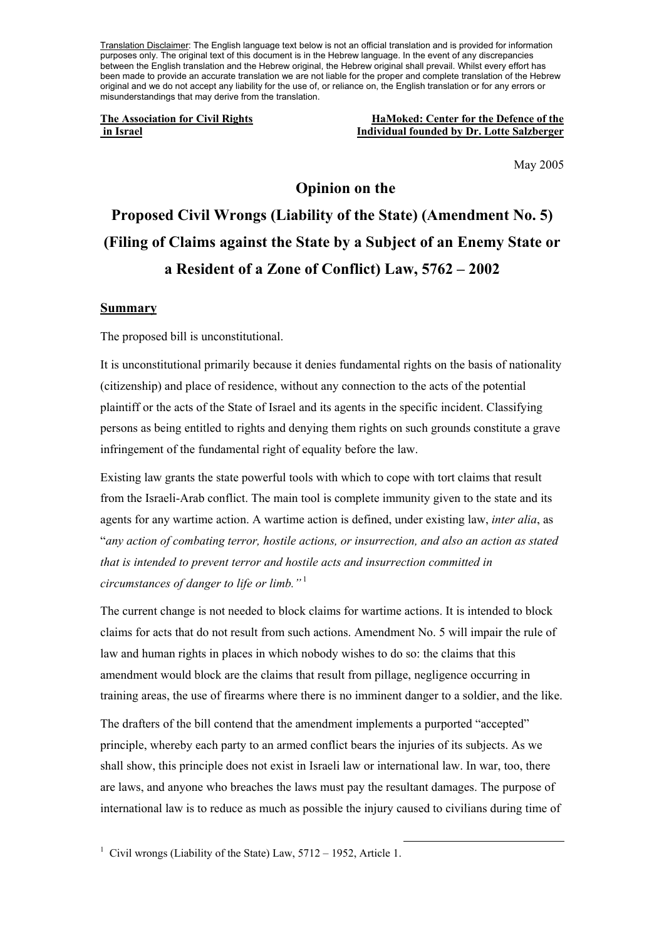Translation Disclaimer: The English language text below is not an official translation and is provided for information purposes only. The original text of this document is in the Hebrew language. In the event of any discrepancies between the English translation and the Hebrew original, the Hebrew original shall prevail. Whilst every effort has been made to provide an accurate translation we are not liable for the proper and complete translation of the Hebrew original and we do not accept any liability for the use of, or reliance on, the English translation or for any errors or misunderstandings that may derive from the translation.

**The Association for Civil Rights The Association for Civil Rights HaMoked: Center for the Defence of the in Israel Individual founded by Dr. Lotte Salzberger**

May 2005

# **Opinion on the Proposed Civil Wrongs (Liability of the State) (Amendment No. 5) (Filing of Claims against the State by a Subject of an Enemy State or a Resident of a Zone of Conflict) Law, 5762 – 2002**

### **Summary**

The proposed bill is unconstitutional.

It is unconstitutional primarily because it denies fundamental rights on the basis of nationality (citizenship) and place of residence, without any connection to the acts of the potential plaintiff or the acts of the State of Israel and its agents in the specific incident. Classifying persons as being entitled to rights and denying them rights on such grounds constitute a grave infringement of the fundamental right of equality before the law.

Existing law grants the state powerful tools with which to cope with tort claims that result from the Israeli-Arab conflict. The main tool is complete immunity given to the state and its agents for any wartime action. A wartime action is defined, under existing law, *inter alia*, as "*any action of combating terror, hostile actions, or insurrection, and also an action as stated that is intended to prevent terror and hostile acts and insurrection committed in circumstances of danger to life or limb."* <sup>1</sup>

The current change is not needed to block claims for wartime actions. It is intended to block claims for acts that do not result from such actions. Amendment No. 5 will impair the rule of law and human rights in places in which nobody wishes to do so: the claims that this amendment would block are the claims that result from pillage, negligence occurring in training areas, the use of firearms where there is no imminent danger to a soldier, and the like.

The drafters of the bill contend that the amendment implements a purported "accepted" principle, whereby each party to an armed conflict bears the injuries of its subjects. As we shall show, this principle does not exist in Israeli law or international law. In war, too, there are laws, and anyone who breaches the laws must pay the resultant damages. The purpose of international law is to reduce as much as possible the injury caused to civilians during time of

<sup>&</sup>lt;sup>1</sup> Civil wrongs (Liability of the State) Law, 5712 – 1952, Article 1.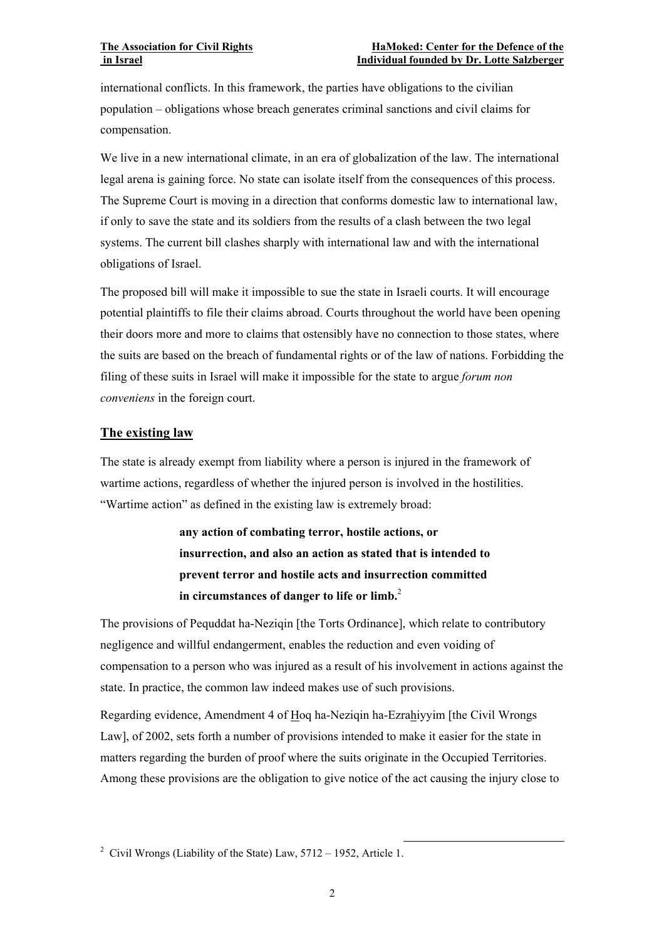international conflicts. In this framework, the parties have obligations to the civilian population – obligations whose breach generates criminal sanctions and civil claims for compensation.

We live in a new international climate, in an era of globalization of the law. The international legal arena is gaining force. No state can isolate itself from the consequences of this process. The Supreme Court is moving in a direction that conforms domestic law to international law, if only to save the state and its soldiers from the results of a clash between the two legal systems. The current bill clashes sharply with international law and with the international obligations of Israel.

The proposed bill will make it impossible to sue the state in Israeli courts. It will encourage potential plaintiffs to file their claims abroad. Courts throughout the world have been opening their doors more and more to claims that ostensibly have no connection to those states, where the suits are based on the breach of fundamental rights or of the law of nations. Forbidding the filing of these suits in Israel will make it impossible for the state to argue *forum non conveniens* in the foreign court.

## **The existing law**

The state is already exempt from liability where a person is injured in the framework of wartime actions, regardless of whether the injured person is involved in the hostilities. "Wartime action" as defined in the existing law is extremely broad:

> **any action of combating terror, hostile actions, or insurrection, and also an action as stated that is intended to prevent terror and hostile acts and insurrection committed in circumstances of danger to life or limb.**<sup>2</sup>

The provisions of Pequddat ha-Neziqin [the Torts Ordinance], which relate to contributory negligence and willful endangerment, enables the reduction and even voiding of compensation to a person who was injured as a result of his involvement in actions against the state. In practice, the common law indeed makes use of such provisions.

Regarding evidence, Amendment 4 of Hoq ha-Neziqin ha-Ezrahiyyim [the Civil Wrongs Law], of 2002, sets forth a number of provisions intended to make it easier for the state in matters regarding the burden of proof where the suits originate in the Occupied Territories. Among these provisions are the obligation to give notice of the act causing the injury close to

 <sup>2</sup> Civil Wrongs (Liability of the State) Law, 5712 – 1952, Article 1.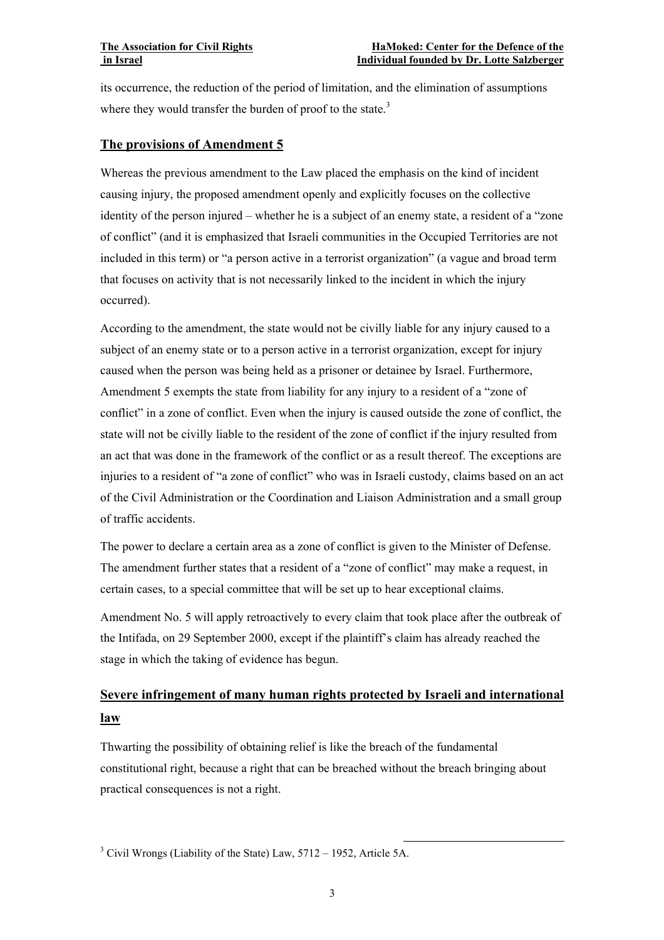its occurrence, the reduction of the period of limitation, and the elimination of assumptions where they would transfer the burden of proof to the state.<sup>3</sup>

## **The provisions of Amendment 5**

Whereas the previous amendment to the Law placed the emphasis on the kind of incident causing injury, the proposed amendment openly and explicitly focuses on the collective identity of the person injured – whether he is a subject of an enemy state, a resident of a "zone of conflict" (and it is emphasized that Israeli communities in the Occupied Territories are not included in this term) or "a person active in a terrorist organization" (a vague and broad term that focuses on activity that is not necessarily linked to the incident in which the injury occurred).

According to the amendment, the state would not be civilly liable for any injury caused to a subject of an enemy state or to a person active in a terrorist organization, except for injury caused when the person was being held as a prisoner or detainee by Israel. Furthermore, Amendment 5 exempts the state from liability for any injury to a resident of a "zone of conflict" in a zone of conflict. Even when the injury is caused outside the zone of conflict, the state will not be civilly liable to the resident of the zone of conflict if the injury resulted from an act that was done in the framework of the conflict or as a result thereof. The exceptions are injuries to a resident of "a zone of conflict" who was in Israeli custody, claims based on an act of the Civil Administration or the Coordination and Liaison Administration and a small group of traffic accidents.

The power to declare a certain area as a zone of conflict is given to the Minister of Defense. The amendment further states that a resident of a "zone of conflict" may make a request, in certain cases, to a special committee that will be set up to hear exceptional claims.

Amendment No. 5 will apply retroactively to every claim that took place after the outbreak of the Intifada, on 29 September 2000, except if the plaintiff's claim has already reached the stage in which the taking of evidence has begun.

## **Severe infringement of many human rights protected by Israeli and international law**

Thwarting the possibility of obtaining relief is like the breach of the fundamental constitutional right, because a right that can be breached without the breach bringing about practical consequences is not a right.

3 Civil Wrongs (Liability of the State) Law, 5712 – 1952, Article 5A.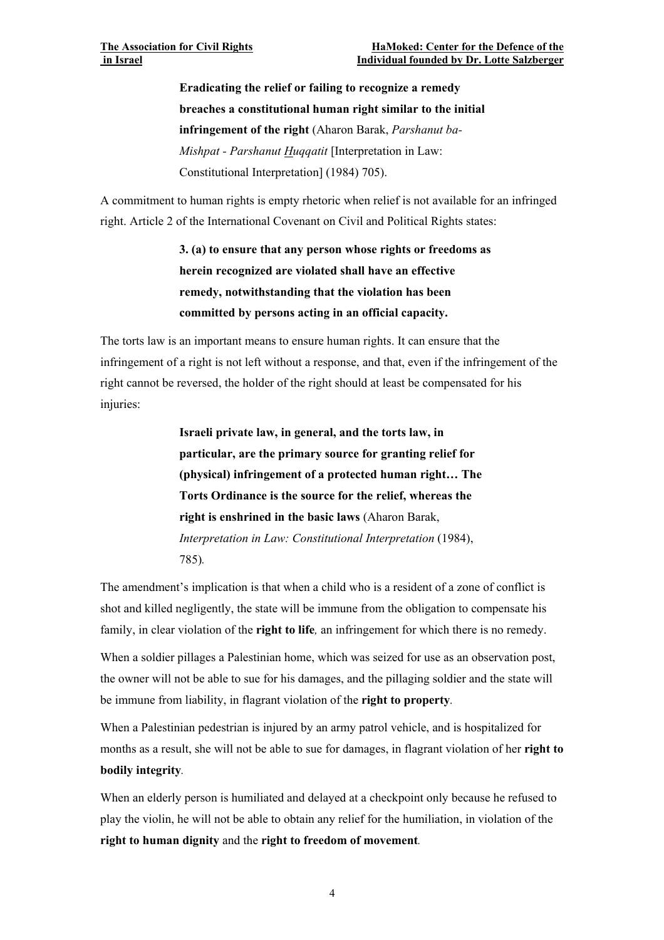**Eradicating the relief or failing to recognize a remedy breaches a constitutional human right similar to the initial infringement of the right** (Aharon Barak, *Parshanut ba-Mishpat - Parshanut Huqqatit* [Interpretation in Law: Constitutional Interpretation] (1984) 705).

A commitment to human rights is empty rhetoric when relief is not available for an infringed right. Article 2 of the International Covenant on Civil and Political Rights states:

> **3. (a) to ensure that any person whose rights or freedoms as herein recognized are violated shall have an effective remedy, notwithstanding that the violation has been committed by persons acting in an official capacity.**

The torts law is an important means to ensure human rights. It can ensure that the infringement of a right is not left without a response, and that, even if the infringement of the right cannot be reversed, the holder of the right should at least be compensated for his injuries:

> **Israeli private law, in general, and the torts law, in particular, are the primary source for granting relief for (physical) infringement of a protected human right… The Torts Ordinance is the source for the relief, whereas the right is enshrined in the basic laws** (Aharon Barak, *Interpretation in Law: Constitutional Interpretation* (1984), 785)*.*

The amendment's implication is that when a child who is a resident of a zone of conflict is shot and killed negligently, the state will be immune from the obligation to compensate his family, in clear violation of the **right to life***,* an infringement for which there is no remedy.

When a soldier pillages a Palestinian home, which was seized for use as an observation post, the owner will not be able to sue for his damages, and the pillaging soldier and the state will be immune from liability, in flagrant violation of the **right to property***.* 

When a Palestinian pedestrian is injured by an army patrol vehicle, and is hospitalized for months as a result, she will not be able to sue for damages, in flagrant violation of her **right to bodily integrity***.* 

When an elderly person is humiliated and delayed at a checkpoint only because he refused to play the violin, he will not be able to obtain any relief for the humiliation, in violation of the **right to human dignity** and the **right to freedom of movement***.*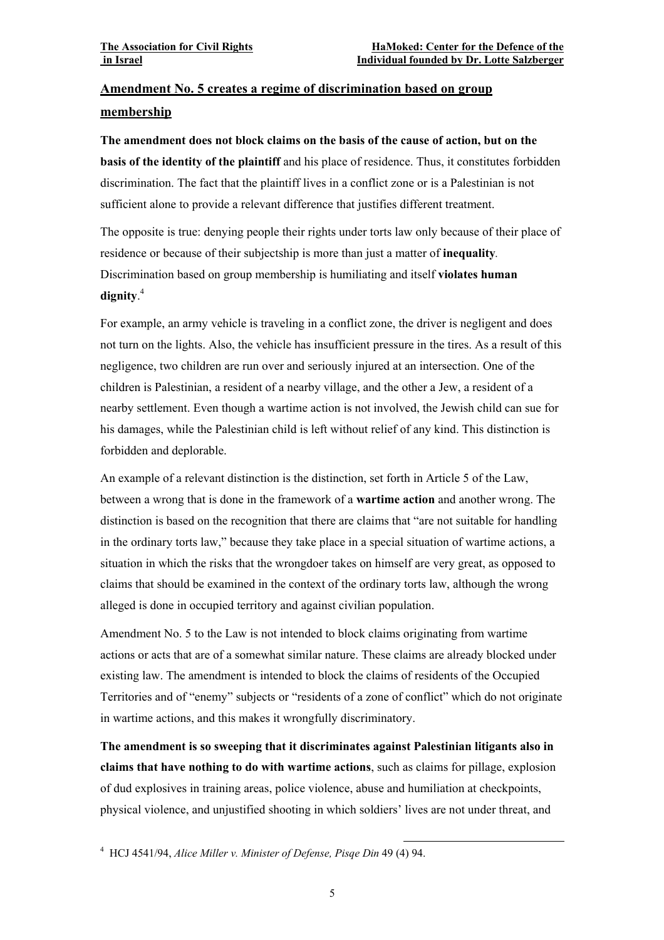## **Amendment No. 5 creates a regime of discrimination based on group membership**

**The amendment does not block claims on the basis of the cause of action, but on the basis of the identity of the plaintiff** and his place of residence. Thus, it constitutes forbidden discrimination. The fact that the plaintiff lives in a conflict zone or is a Palestinian is not sufficient alone to provide a relevant difference that justifies different treatment.

The opposite is true: denying people their rights under torts law only because of their place of residence or because of their subjectship is more than just a matter of **inequality***.*  Discrimination based on group membership is humiliating and itself **violates human dignity**. 4

For example, an army vehicle is traveling in a conflict zone, the driver is negligent and does not turn on the lights. Also, the vehicle has insufficient pressure in the tires. As a result of this negligence, two children are run over and seriously injured at an intersection. One of the children is Palestinian, a resident of a nearby village, and the other a Jew, a resident of a nearby settlement. Even though a wartime action is not involved, the Jewish child can sue for his damages, while the Palestinian child is left without relief of any kind. This distinction is forbidden and deplorable.

An example of a relevant distinction is the distinction, set forth in Article 5 of the Law, between a wrong that is done in the framework of a **wartime action** and another wrong. The distinction is based on the recognition that there are claims that "are not suitable for handling in the ordinary torts law," because they take place in a special situation of wartime actions, a situation in which the risks that the wrongdoer takes on himself are very great, as opposed to claims that should be examined in the context of the ordinary torts law, although the wrong alleged is done in occupied territory and against civilian population.

Amendment No. 5 to the Law is not intended to block claims originating from wartime actions or acts that are of a somewhat similar nature. These claims are already blocked under existing law. The amendment is intended to block the claims of residents of the Occupied Territories and of "enemy" subjects or "residents of a zone of conflict" which do not originate in wartime actions, and this makes it wrongfully discriminatory.

**The amendment is so sweeping that it discriminates against Palestinian litigants also in claims that have nothing to do with wartime actions**, such as claims for pillage, explosion of dud explosives in training areas, police violence, abuse and humiliation at checkpoints, physical violence, and unjustified shooting in which soldiers' lives are not under threat, and

 <sup>4</sup> HCJ 4541/94, *Alice Miller v. Minister of Defense, Pisqe Din* 49 (4) 94.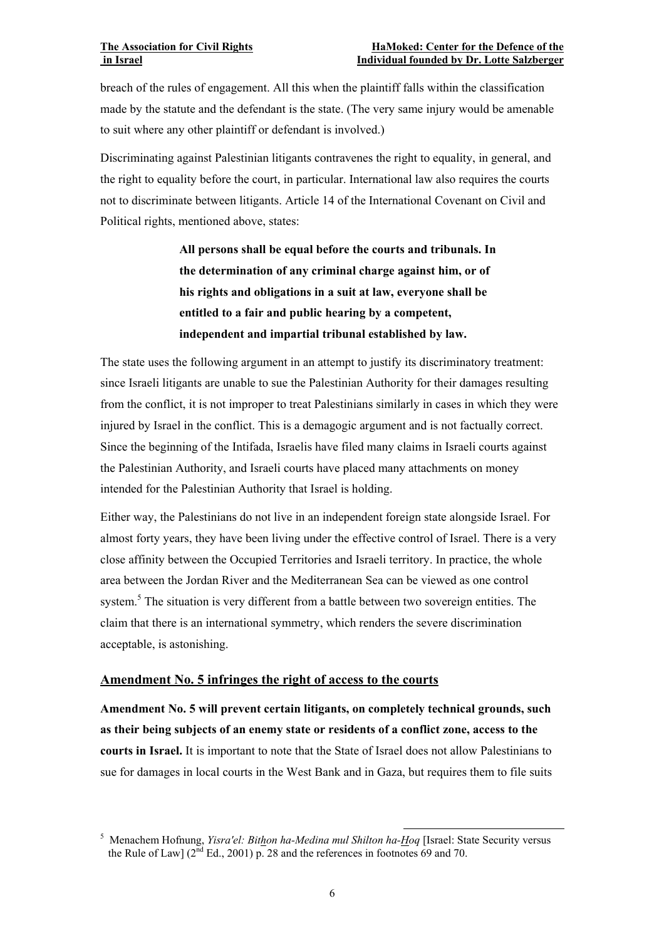breach of the rules of engagement. All this when the plaintiff falls within the classification made by the statute and the defendant is the state. (The very same injury would be amenable to suit where any other plaintiff or defendant is involved.)

Discriminating against Palestinian litigants contravenes the right to equality, in general, and the right to equality before the court, in particular. International law also requires the courts not to discriminate between litigants. Article 14 of the International Covenant on Civil and Political rights, mentioned above, states:

> **All persons shall be equal before the courts and tribunals. In the determination of any criminal charge against him, or of his rights and obligations in a suit at law, everyone shall be entitled to a fair and public hearing by a competent, independent and impartial tribunal established by law.**

The state uses the following argument in an attempt to justify its discriminatory treatment: since Israeli litigants are unable to sue the Palestinian Authority for their damages resulting from the conflict, it is not improper to treat Palestinians similarly in cases in which they were injured by Israel in the conflict. This is a demagogic argument and is not factually correct. Since the beginning of the Intifada, Israelis have filed many claims in Israeli courts against the Palestinian Authority, and Israeli courts have placed many attachments on money intended for the Palestinian Authority that Israel is holding.

Either way, the Palestinians do not live in an independent foreign state alongside Israel. For almost forty years, they have been living under the effective control of Israel. There is a very close affinity between the Occupied Territories and Israeli territory. In practice, the whole area between the Jordan River and the Mediterranean Sea can be viewed as one control system.<sup>5</sup> The situation is very different from a battle between two sovereign entities. The claim that there is an international symmetry, which renders the severe discrimination acceptable, is astonishing.

## **Amendment No. 5 infringes the right of access to the courts**

**Amendment No. 5 will prevent certain litigants, on completely technical grounds, such as their being subjects of an enemy state or residents of a conflict zone, access to the courts in Israel.** It is important to note that the State of Israel does not allow Palestinians to sue for damages in local courts in the West Bank and in Gaza, but requires them to file suits

 <sup>5</sup> Menachem Hofnung, *Yisra'el: Bithon ha-Medina mul Shilton ha-Hoq* [Israel: State Security versus the Rule of Law]  $(2^{nd}$  Ed., 2001) p. 28 and the references in footnotes 69 and 70.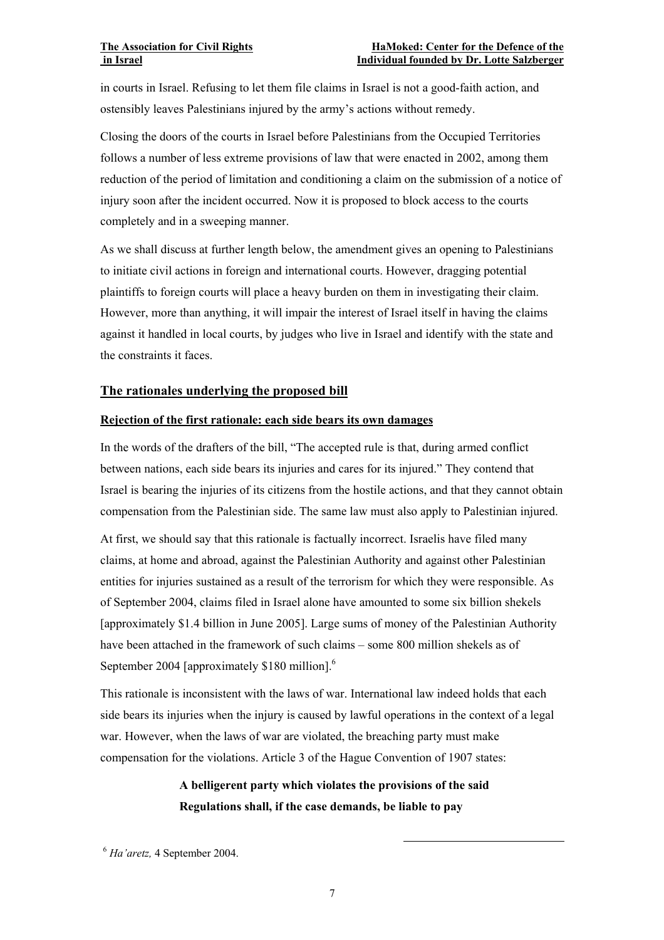in courts in Israel. Refusing to let them file claims in Israel is not a good-faith action, and ostensibly leaves Palestinians injured by the army's actions without remedy.

Closing the doors of the courts in Israel before Palestinians from the Occupied Territories follows a number of less extreme provisions of law that were enacted in 2002, among them reduction of the period of limitation and conditioning a claim on the submission of a notice of injury soon after the incident occurred. Now it is proposed to block access to the courts completely and in a sweeping manner.

As we shall discuss at further length below, the amendment gives an opening to Palestinians to initiate civil actions in foreign and international courts. However, dragging potential plaintiffs to foreign courts will place a heavy burden on them in investigating their claim. However, more than anything, it will impair the interest of Israel itself in having the claims against it handled in local courts, by judges who live in Israel and identify with the state and the constraints it faces.

### **The rationales underlying the proposed bill**

#### **Rejection of the first rationale: each side bears its own damages**

In the words of the drafters of the bill, "The accepted rule is that, during armed conflict between nations, each side bears its injuries and cares for its injured." They contend that Israel is bearing the injuries of its citizens from the hostile actions, and that they cannot obtain compensation from the Palestinian side. The same law must also apply to Palestinian injured.

At first, we should say that this rationale is factually incorrect. Israelis have filed many claims, at home and abroad, against the Palestinian Authority and against other Palestinian entities for injuries sustained as a result of the terrorism for which they were responsible. As of September 2004, claims filed in Israel alone have amounted to some six billion shekels [approximately \$1.4 billion in June 2005]. Large sums of money of the Palestinian Authority have been attached in the framework of such claims – some 800 million shekels as of September 2004 [approximately \$180 million].<sup>6</sup>

This rationale is inconsistent with the laws of war. International law indeed holds that each side bears its injuries when the injury is caused by lawful operations in the context of a legal war. However, when the laws of war are violated, the breaching party must make compensation for the violations. Article 3 of the Hague Convention of 1907 states:

## **A belligerent party which violates the provisions of the said Regulations shall, if the case demands, be liable to pay**

6 *Ha'aretz,* 4 September 2004.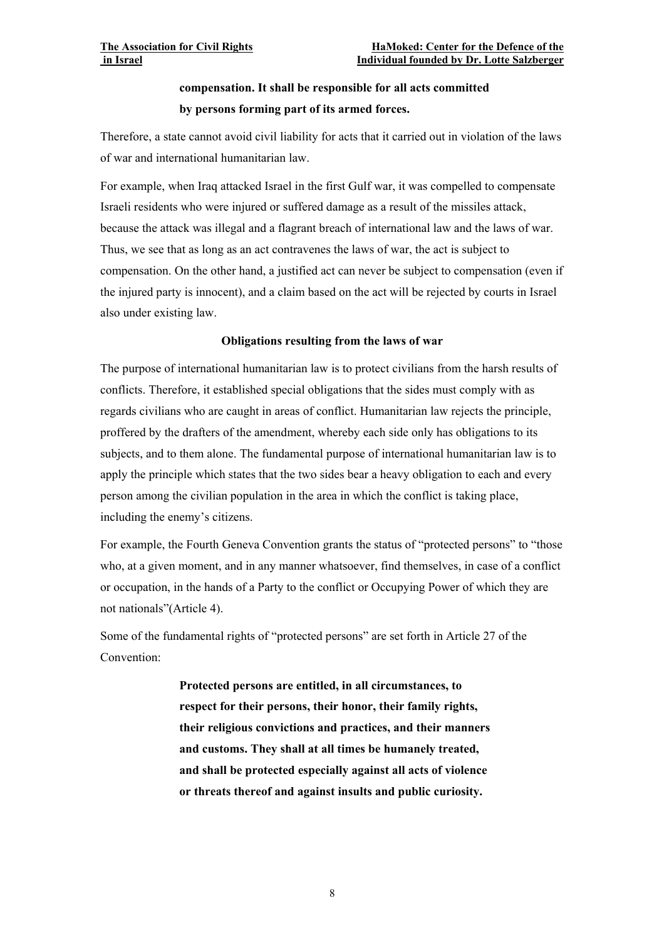## **compensation. It shall be responsible for all acts committed by persons forming part of its armed forces.**

Therefore, a state cannot avoid civil liability for acts that it carried out in violation of the laws of war and international humanitarian law.

For example, when Iraq attacked Israel in the first Gulf war, it was compelled to compensate Israeli residents who were injured or suffered damage as a result of the missiles attack, because the attack was illegal and a flagrant breach of international law and the laws of war. Thus, we see that as long as an act contravenes the laws of war, the act is subject to compensation. On the other hand, a justified act can never be subject to compensation (even if the injured party is innocent), and a claim based on the act will be rejected by courts in Israel also under existing law.

### **Obligations resulting from the laws of war**

The purpose of international humanitarian law is to protect civilians from the harsh results of conflicts. Therefore, it established special obligations that the sides must comply with as regards civilians who are caught in areas of conflict. Humanitarian law rejects the principle, proffered by the drafters of the amendment, whereby each side only has obligations to its subjects, and to them alone. The fundamental purpose of international humanitarian law is to apply the principle which states that the two sides bear a heavy obligation to each and every person among the civilian population in the area in which the conflict is taking place, including the enemy's citizens.

For example, the Fourth Geneva Convention grants the status of "protected persons" to "those who, at a given moment, and in any manner whatsoever, find themselves, in case of a conflict or occupation, in the hands of a Party to the conflict or Occupying Power of which they are not nationals"(Article 4).

Some of the fundamental rights of "protected persons" are set forth in Article 27 of the Convention:

> **Protected persons are entitled, in all circumstances, to respect for their persons, their honor, their family rights, their religious convictions and practices, and their manners and customs. They shall at all times be humanely treated, and shall be protected especially against all acts of violence or threats thereof and against insults and public curiosity.**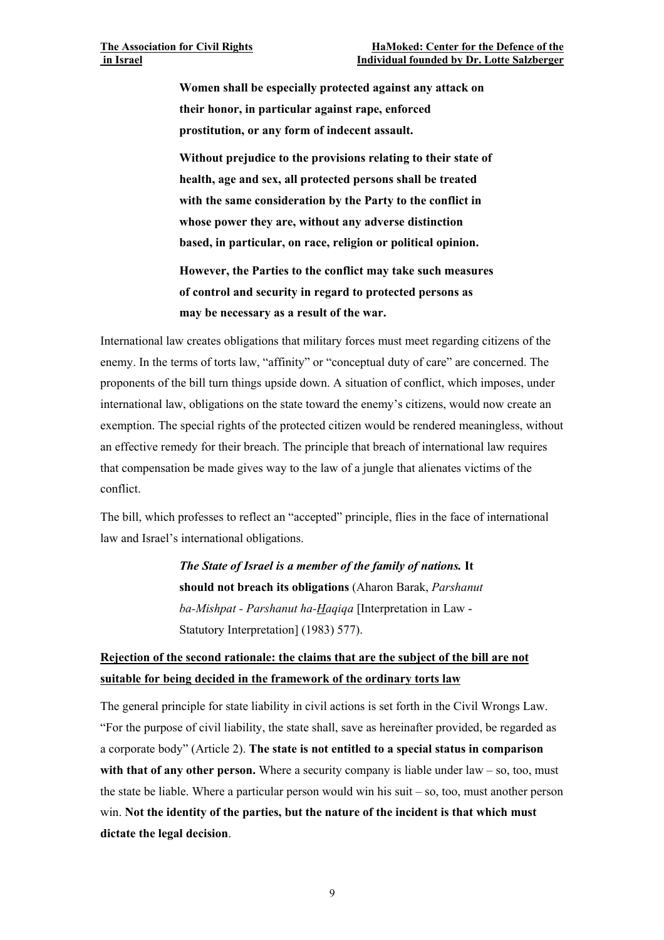**Women shall be especially protected against any attack on their honor, in particular against rape, enforced prostitution, or any form of indecent assault.** 

**Without prejudice to the provisions relating to their state of health, age and sex, all protected persons shall be treated with the same consideration by the Party to the conflict in whose power they are, without any adverse distinction based, in particular, on race, religion or political opinion.** 

**However, the Parties to the conflict may take such measures of control and security in regard to protected persons as may be necessary as a result of the war.** 

International law creates obligations that military forces must meet regarding citizens of the enemy. In the terms of torts law, "affinity" or "conceptual duty of care" are concerned. The proponents of the bill turn things upside down. A situation of conflict, which imposes, under international law, obligations on the state toward the enemy's citizens, would now create an exemption. The special rights of the protected citizen would be rendered meaningless, without an effective remedy for their breach. The principle that breach of international law requires that compensation be made gives way to the law of a jungle that alienates victims of the conflict.

The bill, which professes to reflect an "accepted" principle, flies in the face of international law and Israel's international obligations.

> *The State of Israel is a member of the family of nations.* **It should not breach its obligations** (Aharon Barak, *Parshanut ba-Mishpat - Parshanut ha-Haqiqa* [Interpretation in Law - Statutory Interpretation] (1983) 577).

## **Rejection of the second rationale: the claims that are the subject of the bill are not suitable for being decided in the framework of the ordinary torts law**

The general principle for state liability in civil actions is set forth in the Civil Wrongs Law. "For the purpose of civil liability, the state shall, save as hereinafter provided, be regarded as a corporate body" (Article 2). **The state is not entitled to a special status in comparison**  with that of any other person. Where a security company is liable under law – so, too, must the state be liable. Where a particular person would win his suit – so, too, must another person win. **Not the identity of the parties, but the nature of the incident is that which must dictate the legal decision**.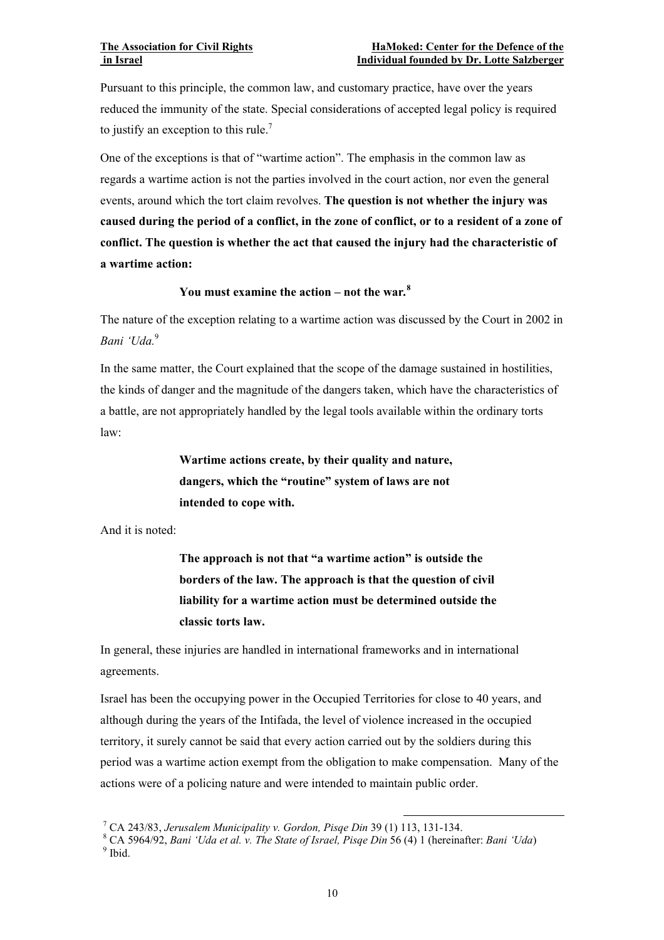Pursuant to this principle, the common law, and customary practice, have over the years reduced the immunity of the state. Special considerations of accepted legal policy is required to justify an exception to this rule.<sup>7</sup>

One of the exceptions is that of "wartime action". The emphasis in the common law as regards a wartime action is not the parties involved in the court action, nor even the general events, around which the tort claim revolves. **The question is not whether the injury was caused during the period of a conflict, in the zone of conflict, or to a resident of a zone of conflict. The question is whether the act that caused the injury had the characteristic of a wartime action:** 

## **You must examine the action – not the war***.* **8**

The nature of the exception relating to a wartime action was discussed by the Court in 2002 in *Bani 'Uda.*<sup>9</sup>

In the same matter, the Court explained that the scope of the damage sustained in hostilities, the kinds of danger and the magnitude of the dangers taken, which have the characteristics of a battle, are not appropriately handled by the legal tools available within the ordinary torts law:

> **Wartime actions create, by their quality and nature, dangers, which the "routine" system of laws are not intended to cope with.**

And it is noted:

**The approach is not that "a wartime action" is outside the borders of the law. The approach is that the question of civil liability for a wartime action must be determined outside the classic torts law.** 

In general, these injuries are handled in international frameworks and in international agreements.

Israel has been the occupying power in the Occupied Territories for close to 40 years, and although during the years of the Intifada, the level of violence increased in the occupied territory, it surely cannot be said that every action carried out by the soldiers during this period was a wartime action exempt from the obligation to make compensation. Many of the actions were of a policing nature and were intended to maintain public order.

<sup>&</sup>lt;sup>7</sup> CA 243/83. Jerusalem Municipality v. Gordon. Pisae Din 39 (1) 113, 131-134. CA 243/83, *Jerusalem Municipality v. Gordon, Pisqe Din* 39 (1) 113, 131-134. 8

CA 5964/92, *Bani 'Uda et al. v. The State of Israel, Pisqe Din* 56 (4) 1 (hereinafter: *Bani 'Uda*) 9  $9$  Ibid.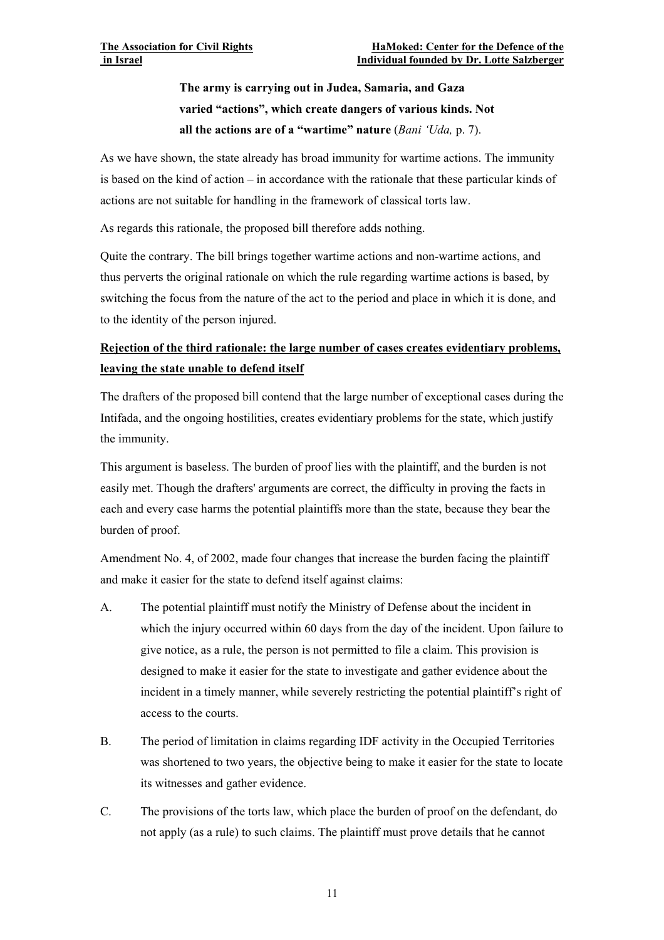## **The army is carrying out in Judea, Samaria, and Gaza varied "actions", which create dangers of various kinds. Not all the actions are of a "wartime" nature** (*Bani 'Uda,* p. 7).

As we have shown, the state already has broad immunity for wartime actions. The immunity is based on the kind of action – in accordance with the rationale that these particular kinds of actions are not suitable for handling in the framework of classical torts law.

As regards this rationale, the proposed bill therefore adds nothing.

Quite the contrary. The bill brings together wartime actions and non-wartime actions, and thus perverts the original rationale on which the rule regarding wartime actions is based, by switching the focus from the nature of the act to the period and place in which it is done, and to the identity of the person injured.

## **Rejection of the third rationale: the large number of cases creates evidentiary problems, leaving the state unable to defend itself**

The drafters of the proposed bill contend that the large number of exceptional cases during the Intifada, and the ongoing hostilities, creates evidentiary problems for the state, which justify the immunity.

This argument is baseless. The burden of proof lies with the plaintiff, and the burden is not easily met. Though the drafters' arguments are correct, the difficulty in proving the facts in each and every case harms the potential plaintiffs more than the state, because they bear the burden of proof.

Amendment No. 4, of 2002, made four changes that increase the burden facing the plaintiff and make it easier for the state to defend itself against claims:

- A. The potential plaintiff must notify the Ministry of Defense about the incident in which the injury occurred within 60 days from the day of the incident. Upon failure to give notice, as a rule, the person is not permitted to file a claim. This provision is designed to make it easier for the state to investigate and gather evidence about the incident in a timely manner, while severely restricting the potential plaintiff's right of access to the courts.
- B. The period of limitation in claims regarding IDF activity in the Occupied Territories was shortened to two years, the objective being to make it easier for the state to locate its witnesses and gather evidence.
- C. The provisions of the torts law, which place the burden of proof on the defendant, do not apply (as a rule) to such claims. The plaintiff must prove details that he cannot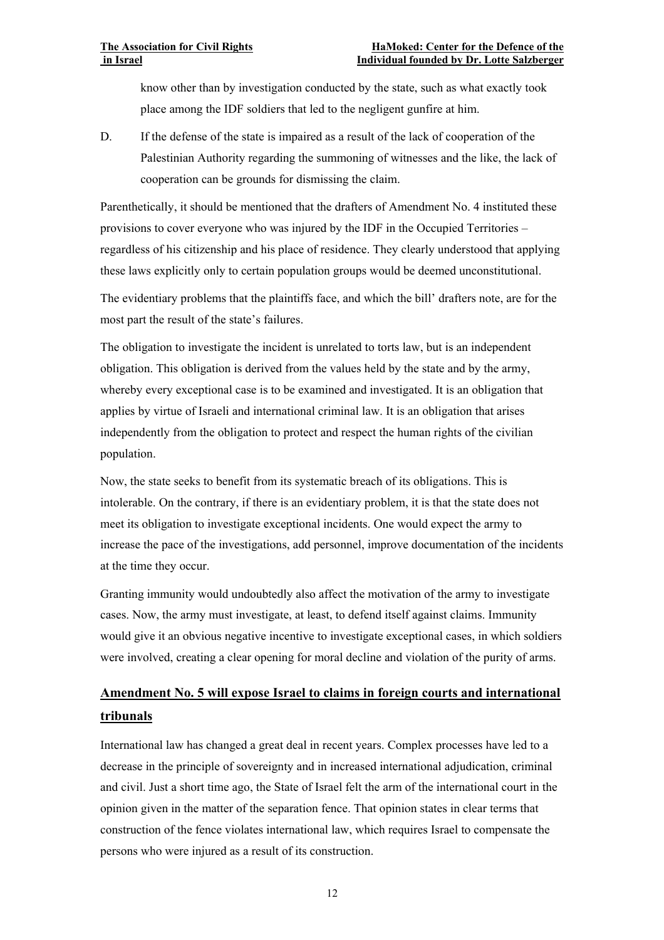know other than by investigation conducted by the state, such as what exactly took place among the IDF soldiers that led to the negligent gunfire at him.

D. If the defense of the state is impaired as a result of the lack of cooperation of the Palestinian Authority regarding the summoning of witnesses and the like, the lack of cooperation can be grounds for dismissing the claim.

Parenthetically, it should be mentioned that the drafters of Amendment No. 4 instituted these provisions to cover everyone who was injured by the IDF in the Occupied Territories – regardless of his citizenship and his place of residence. They clearly understood that applying these laws explicitly only to certain population groups would be deemed unconstitutional.

The evidentiary problems that the plaintiffs face, and which the bill' drafters note, are for the most part the result of the state's failures.

The obligation to investigate the incident is unrelated to torts law, but is an independent obligation. This obligation is derived from the values held by the state and by the army, whereby every exceptional case is to be examined and investigated. It is an obligation that applies by virtue of Israeli and international criminal law. It is an obligation that arises independently from the obligation to protect and respect the human rights of the civilian population.

Now, the state seeks to benefit from its systematic breach of its obligations. This is intolerable. On the contrary, if there is an evidentiary problem, it is that the state does not meet its obligation to investigate exceptional incidents. One would expect the army to increase the pace of the investigations, add personnel, improve documentation of the incidents at the time they occur.

Granting immunity would undoubtedly also affect the motivation of the army to investigate cases. Now, the army must investigate, at least, to defend itself against claims. Immunity would give it an obvious negative incentive to investigate exceptional cases, in which soldiers were involved, creating a clear opening for moral decline and violation of the purity of arms.

## **Amendment No. 5 will expose Israel to claims in foreign courts and international tribunals**

International law has changed a great deal in recent years. Complex processes have led to a decrease in the principle of sovereignty and in increased international adjudication, criminal and civil. Just a short time ago, the State of Israel felt the arm of the international court in the opinion given in the matter of the separation fence. That opinion states in clear terms that construction of the fence violates international law, which requires Israel to compensate the persons who were injured as a result of its construction.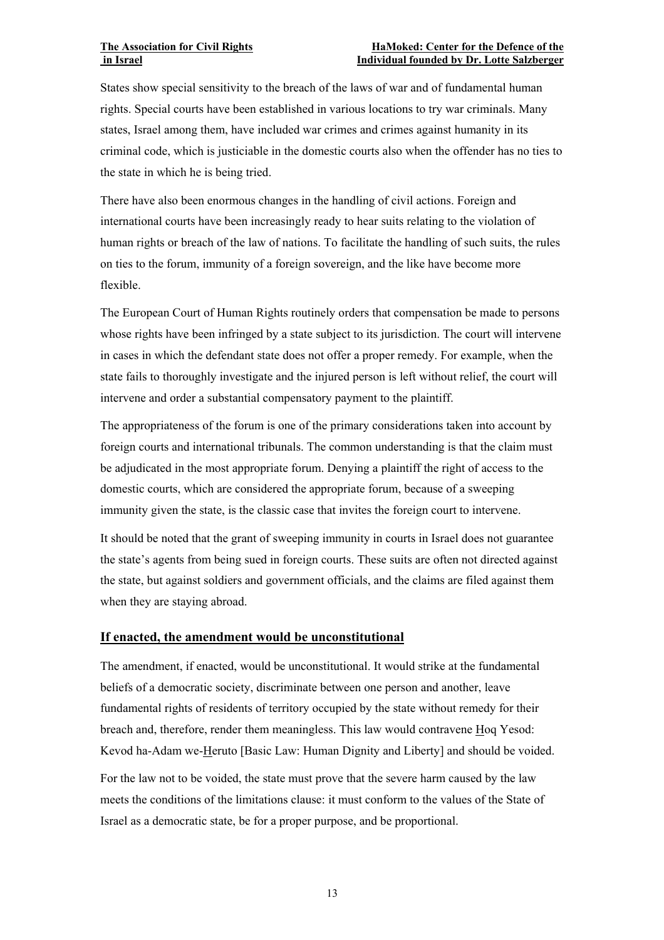#### **The Association for Civil Rights Form Association for Civil Rights Form Association for Civil Rights Form Association in Association for Civil Rights Form Association in Association for Civil Rights Form Association in As in Israel Individual founded by Dr. Lotte Salzberger**

States show special sensitivity to the breach of the laws of war and of fundamental human rights. Special courts have been established in various locations to try war criminals. Many states, Israel among them, have included war crimes and crimes against humanity in its criminal code, which is justiciable in the domestic courts also when the offender has no ties to the state in which he is being tried.

There have also been enormous changes in the handling of civil actions. Foreign and international courts have been increasingly ready to hear suits relating to the violation of human rights or breach of the law of nations. To facilitate the handling of such suits, the rules on ties to the forum, immunity of a foreign sovereign, and the like have become more flexible.

The European Court of Human Rights routinely orders that compensation be made to persons whose rights have been infringed by a state subject to its jurisdiction. The court will intervene in cases in which the defendant state does not offer a proper remedy. For example, when the state fails to thoroughly investigate and the injured person is left without relief, the court will intervene and order a substantial compensatory payment to the plaintiff.

The appropriateness of the forum is one of the primary considerations taken into account by foreign courts and international tribunals. The common understanding is that the claim must be adjudicated in the most appropriate forum. Denying a plaintiff the right of access to the domestic courts, which are considered the appropriate forum, because of a sweeping immunity given the state, is the classic case that invites the foreign court to intervene.

It should be noted that the grant of sweeping immunity in courts in Israel does not guarantee the state's agents from being sued in foreign courts. These suits are often not directed against the state, but against soldiers and government officials, and the claims are filed against them when they are staying abroad.

#### **If enacted, the amendment would be unconstitutional**

The amendment, if enacted, would be unconstitutional. It would strike at the fundamental beliefs of a democratic society, discriminate between one person and another, leave fundamental rights of residents of territory occupied by the state without remedy for their breach and, therefore, render them meaningless. This law would contravene Hoq Yesod: Kevod ha-Adam we-Heruto [Basic Law: Human Dignity and Liberty] and should be voided.

For the law not to be voided, the state must prove that the severe harm caused by the law meets the conditions of the limitations clause: it must conform to the values of the State of Israel as a democratic state, be for a proper purpose, and be proportional.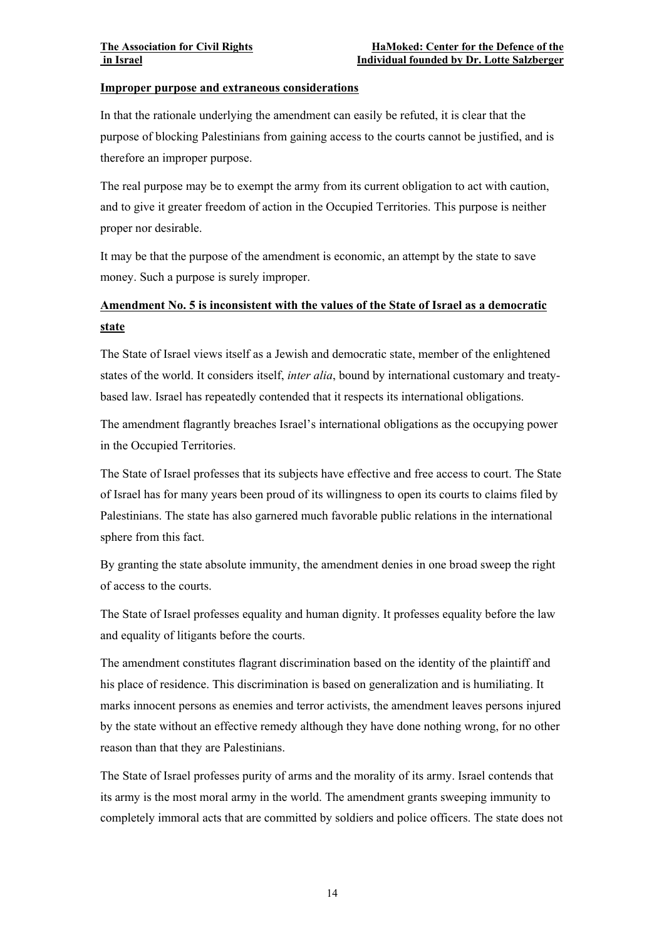#### **Improper purpose and extraneous considerations**

In that the rationale underlying the amendment can easily be refuted, it is clear that the purpose of blocking Palestinians from gaining access to the courts cannot be justified, and is therefore an improper purpose.

The real purpose may be to exempt the army from its current obligation to act with caution, and to give it greater freedom of action in the Occupied Territories. This purpose is neither proper nor desirable.

It may be that the purpose of the amendment is economic, an attempt by the state to save money. Such a purpose is surely improper.

## **Amendment No. 5 is inconsistent with the values of the State of Israel as a democratic state**

The State of Israel views itself as a Jewish and democratic state, member of the enlightened states of the world. It considers itself, *inter alia*, bound by international customary and treatybased law. Israel has repeatedly contended that it respects its international obligations.

The amendment flagrantly breaches Israel's international obligations as the occupying power in the Occupied Territories.

The State of Israel professes that its subjects have effective and free access to court. The State of Israel has for many years been proud of its willingness to open its courts to claims filed by Palestinians. The state has also garnered much favorable public relations in the international sphere from this fact.

By granting the state absolute immunity, the amendment denies in one broad sweep the right of access to the courts.

The State of Israel professes equality and human dignity. It professes equality before the law and equality of litigants before the courts.

The amendment constitutes flagrant discrimination based on the identity of the plaintiff and his place of residence. This discrimination is based on generalization and is humiliating. It marks innocent persons as enemies and terror activists, the amendment leaves persons injured by the state without an effective remedy although they have done nothing wrong, for no other reason than that they are Palestinians.

The State of Israel professes purity of arms and the morality of its army. Israel contends that its army is the most moral army in the world. The amendment grants sweeping immunity to completely immoral acts that are committed by soldiers and police officers. The state does not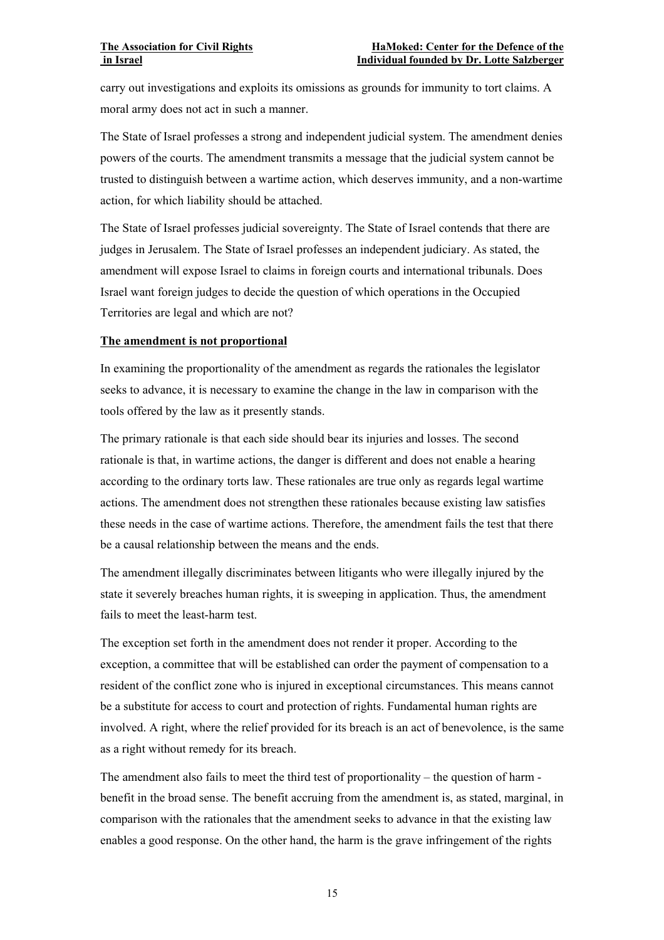carry out investigations and exploits its omissions as grounds for immunity to tort claims. A moral army does not act in such a manner.

The State of Israel professes a strong and independent judicial system. The amendment denies powers of the courts. The amendment transmits a message that the judicial system cannot be trusted to distinguish between a wartime action, which deserves immunity, and a non-wartime action, for which liability should be attached.

The State of Israel professes judicial sovereignty. The State of Israel contends that there are judges in Jerusalem. The State of Israel professes an independent judiciary. As stated, the amendment will expose Israel to claims in foreign courts and international tribunals. Does Israel want foreign judges to decide the question of which operations in the Occupied Territories are legal and which are not?

#### **The amendment is not proportional**

In examining the proportionality of the amendment as regards the rationales the legislator seeks to advance, it is necessary to examine the change in the law in comparison with the tools offered by the law as it presently stands.

The primary rationale is that each side should bear its injuries and losses. The second rationale is that, in wartime actions, the danger is different and does not enable a hearing according to the ordinary torts law. These rationales are true only as regards legal wartime actions. The amendment does not strengthen these rationales because existing law satisfies these needs in the case of wartime actions. Therefore, the amendment fails the test that there be a causal relationship between the means and the ends.

The amendment illegally discriminates between litigants who were illegally injured by the state it severely breaches human rights, it is sweeping in application. Thus, the amendment fails to meet the least-harm test.

The exception set forth in the amendment does not render it proper. According to the exception, a committee that will be established can order the payment of compensation to a resident of the conflict zone who is injured in exceptional circumstances. This means cannot be a substitute for access to court and protection of rights. Fundamental human rights are involved. A right, where the relief provided for its breach is an act of benevolence, is the same as a right without remedy for its breach.

The amendment also fails to meet the third test of proportionality – the question of harm benefit in the broad sense. The benefit accruing from the amendment is, as stated, marginal, in comparison with the rationales that the amendment seeks to advance in that the existing law enables a good response. On the other hand, the harm is the grave infringement of the rights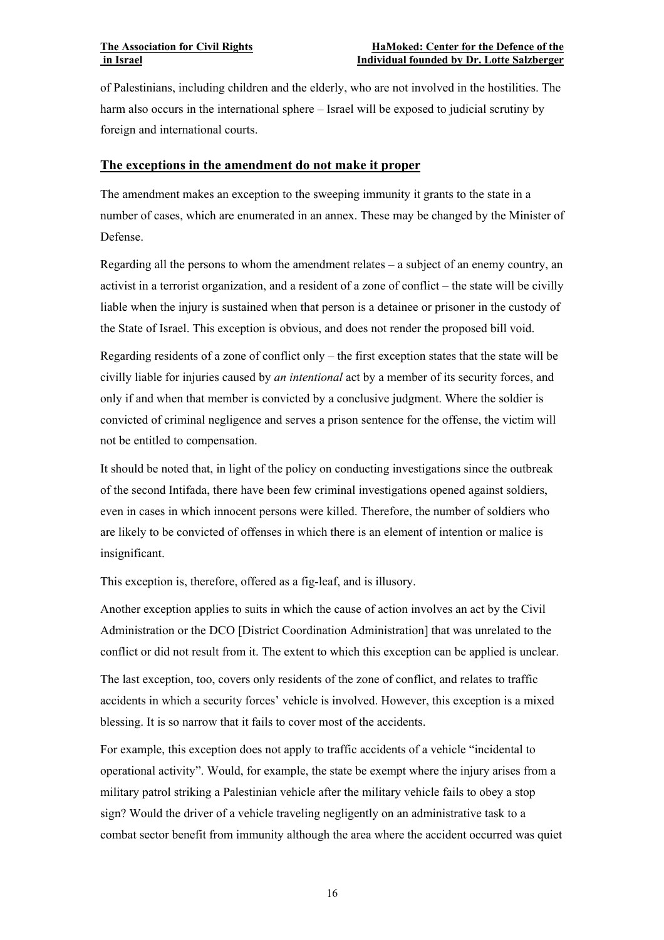of Palestinians, including children and the elderly, who are not involved in the hostilities. The harm also occurs in the international sphere – Israel will be exposed to judicial scrutiny by foreign and international courts.

## **The exceptions in the amendment do not make it proper**

The amendment makes an exception to the sweeping immunity it grants to the state in a number of cases, which are enumerated in an annex. These may be changed by the Minister of Defense.

Regarding all the persons to whom the amendment relates – a subject of an enemy country, an activist in a terrorist organization, and a resident of a zone of conflict – the state will be civilly liable when the injury is sustained when that person is a detainee or prisoner in the custody of the State of Israel. This exception is obvious, and does not render the proposed bill void.

Regarding residents of a zone of conflict only – the first exception states that the state will be civilly liable for injuries caused by *an intentional* act by a member of its security forces, and only if and when that member is convicted by a conclusive judgment. Where the soldier is convicted of criminal negligence and serves a prison sentence for the offense, the victim will not be entitled to compensation.

It should be noted that, in light of the policy on conducting investigations since the outbreak of the second Intifada, there have been few criminal investigations opened against soldiers, even in cases in which innocent persons were killed. Therefore, the number of soldiers who are likely to be convicted of offenses in which there is an element of intention or malice is insignificant.

This exception is, therefore, offered as a fig-leaf, and is illusory.

Another exception applies to suits in which the cause of action involves an act by the Civil Administration or the DCO [District Coordination Administration] that was unrelated to the conflict or did not result from it. The extent to which this exception can be applied is unclear.

The last exception, too, covers only residents of the zone of conflict, and relates to traffic accidents in which a security forces' vehicle is involved. However, this exception is a mixed blessing. It is so narrow that it fails to cover most of the accidents.

For example, this exception does not apply to traffic accidents of a vehicle "incidental to operational activity". Would, for example, the state be exempt where the injury arises from a military patrol striking a Palestinian vehicle after the military vehicle fails to obey a stop sign? Would the driver of a vehicle traveling negligently on an administrative task to a combat sector benefit from immunity although the area where the accident occurred was quiet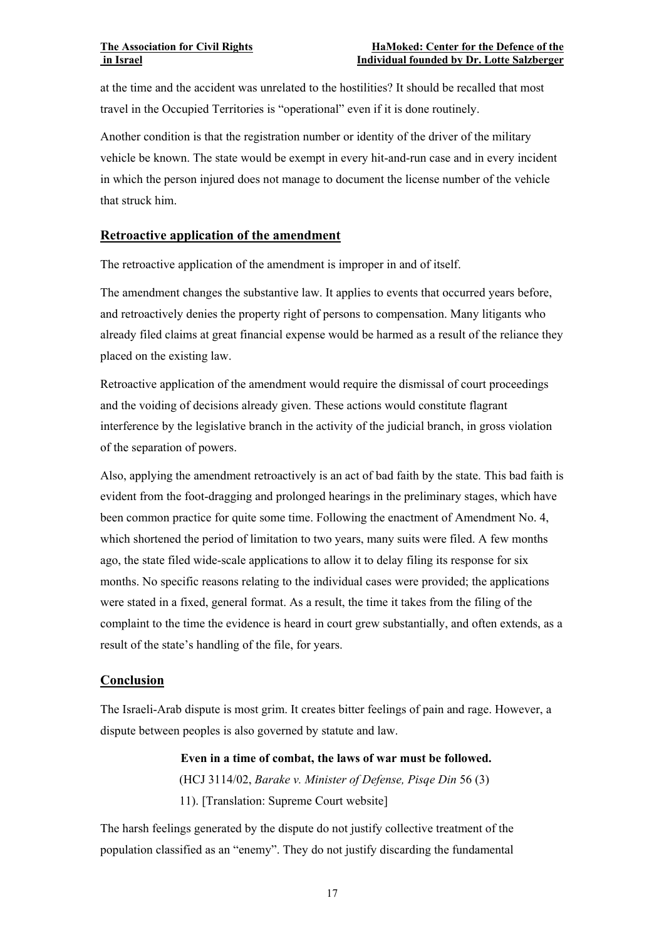at the time and the accident was unrelated to the hostilities? It should be recalled that most travel in the Occupied Territories is "operational" even if it is done routinely.

Another condition is that the registration number or identity of the driver of the military vehicle be known. The state would be exempt in every hit-and-run case and in every incident in which the person injured does not manage to document the license number of the vehicle that struck him.

### **Retroactive application of the amendment**

The retroactive application of the amendment is improper in and of itself.

The amendment changes the substantive law. It applies to events that occurred years before, and retroactively denies the property right of persons to compensation. Many litigants who already filed claims at great financial expense would be harmed as a result of the reliance they placed on the existing law.

Retroactive application of the amendment would require the dismissal of court proceedings and the voiding of decisions already given. These actions would constitute flagrant interference by the legislative branch in the activity of the judicial branch, in gross violation of the separation of powers.

Also, applying the amendment retroactively is an act of bad faith by the state. This bad faith is evident from the foot-dragging and prolonged hearings in the preliminary stages, which have been common practice for quite some time. Following the enactment of Amendment No. 4, which shortened the period of limitation to two years, many suits were filed. A few months ago, the state filed wide-scale applications to allow it to delay filing its response for six months. No specific reasons relating to the individual cases were provided; the applications were stated in a fixed, general format. As a result, the time it takes from the filing of the complaint to the time the evidence is heard in court grew substantially, and often extends, as a result of the state's handling of the file, for years.

## **Conclusion**

The Israeli-Arab dispute is most grim. It creates bitter feelings of pain and rage. However, a dispute between peoples is also governed by statute and law.

> **Even in a time of combat, the laws of war must be followed.**  (HCJ 3114/02, *Barake v. Minister of Defense, Pisqe Din* 56 (3) 11). [Translation: Supreme Court website]

The harsh feelings generated by the dispute do not justify collective treatment of the population classified as an "enemy". They do not justify discarding the fundamental